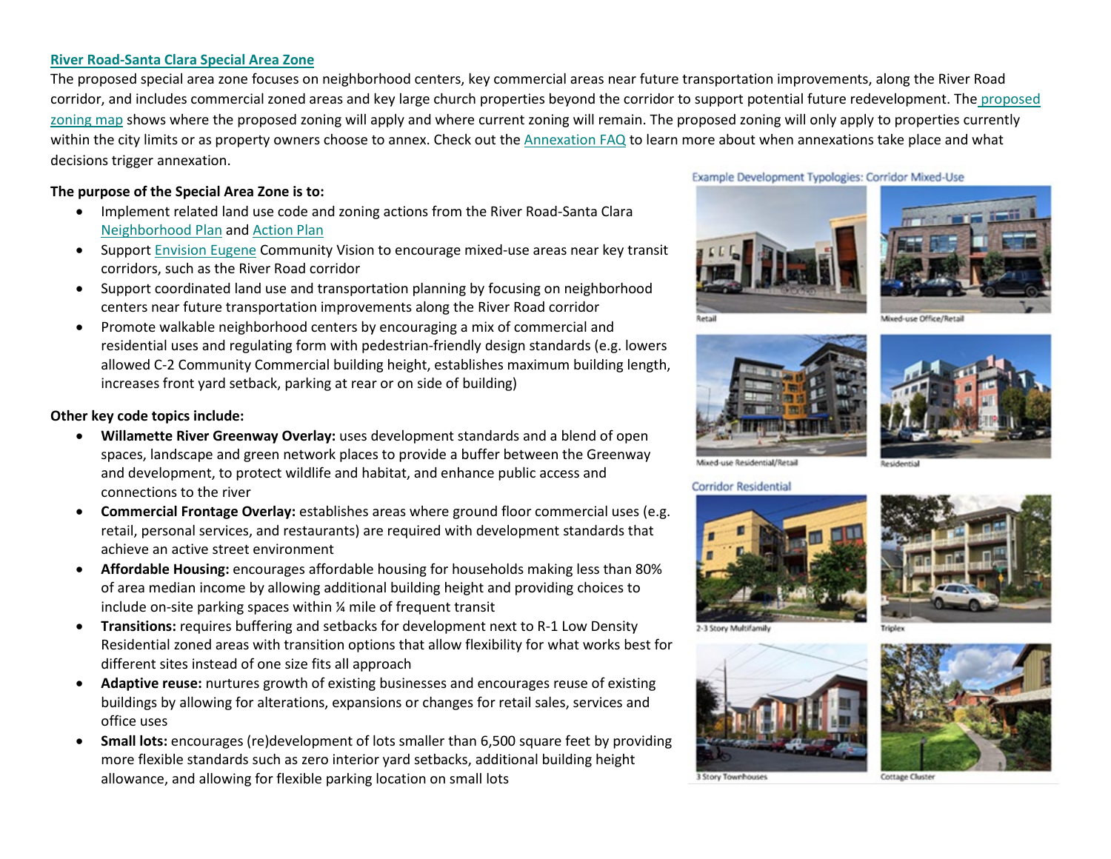## **[River Road-Santa Clara Special Area Zone](https://www.eugene-or.gov/DocumentCenter/View/65548/220418_RRSC_CodeDraft)**

The proposed special area zone focuses on neighborhood centers, key commercial areas near future transportation improvements, along the River Road corridor, and includes commercial zoned areas and key large church properties beyond the corridor to support potential future redevelopment. The [proposed](https://eugene-pwe.maps.arcgis.com/apps/Minimalist/index.html?appid=2e24a51e3bc94c91b6aa915c3e32f5c6)  [zoning](https://eugene-pwe.maps.arcgis.com/apps/Minimalist/index.html?appid=2e24a51e3bc94c91b6aa915c3e32f5c6) map shows where the proposed zoning will apply and where current zoning will remain. The proposed zoning will only apply to properties currently within the city limits or as property owners choose to annex. Check out th[e Annexation FAQ](https://www.eugene-or.gov/DocumentCenter/View/55317) to learn more about when annexations take place and what decisions trigger annexation.

## **The purpose of the Special Area Zone is to:**

- Implement related land use code and zoning actions from the River Road-Santa Clara [Neighborhood Plan](https://www.eugene-or.gov/DocumentCenter/View/65547/220415_RRSC_NeighborhoodPlanDraft) and [Action Plan](https://www.eugene-or.gov/DocumentCenter/View/65546/220418_RRSC_Action-PlanDraft)
- Support [Envision Eugene](https://www.eugene-or.gov/760/Envision-Eugene) Community Vision to encourage mixed-use areas near key transit corridors, such as the River Road corridor
- Support coordinated land use and transportation planning by focusing on neighborhood centers near future transportation improvements along the River Road corridor
- Promote walkable neighborhood centers by encouraging a mix of commercial and residential uses and regulating form with pedestrian-friendly design standards (e.g. lowers allowed C-2 Community Commercial building height, establishes maximum building length, increases front yard setback, parking at rear or on side of building)

## **Other key code topics include:**

- **Willamette River Greenway Overlay:** uses development standards and a blend of open spaces, landscape and green network places to provide a buffer between the Greenway and development, to protect wildlife and habitat, and enhance public access and connections to the river
- **Commercial Frontage Overlay:** establishes areas where ground floor commercial uses (e.g. retail, personal services, and restaurants) are required with development standards that achieve an active street environment
- **Affordable Housing:** encourages affordable housing for households making less than 80% of area median income by allowing additional building height and providing choices to include on-site parking spaces within ¼ mile of frequent transit
- **Transitions:** requires buffering and setbacks for development next to R-1 Low Density Residential zoned areas with transition options that allow flexibility for what works best for different sites instead of one size fits all approach
- **Adaptive reuse:** nurtures growth of existing businesses and encourages reuse of existing buildings by allowing for alterations, expansions or changes for retail sales, services and office uses
- **Small lots:** encourages (re)development of lots smaller than 6,500 square feet by providing more flexible standards such as zero interior yard setbacks, additional building height allowance, and allowing for flexible parking location on small lots

Example Development Typologies: Corridor Mixed-Use





Mixed-use Office/Retail





Mixed-use Residential/Retail

**Corridor Residential** 







3 Story Townhouses



**Cottage Cluste**